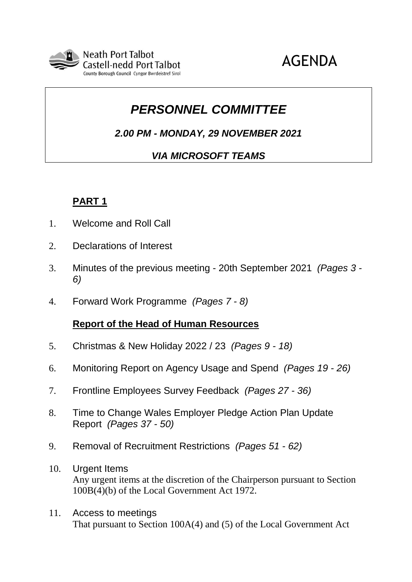

# AGENDA

# *PERSONNEL COMMITTEE*

*2.00 PM - MONDAY, 29 NOVEMBER 2021*

# *VIA MICROSOFT TEAMS*

# **PART 1**

- 1. Welcome and Roll Call
- 2. Declarations of Interest
- 3. Minutes of the previous meeting 20th September 2021 *(Pages 3 - 6)*
- 4. Forward Work Programme *(Pages 7 - 8)*

#### **Report of the Head of Human Resources**

- 5. Christmas & New Holiday 2022 / 23 *(Pages 9 - 18)*
- 6. Monitoring Report on Agency Usage and Spend *(Pages 19 - 26)*
- 7. Frontline Employees Survey Feedback *(Pages 27 - 36)*
- 8. Time to Change Wales Employer Pledge Action Plan Update Report *(Pages 37 - 50)*
- 9. Removal of Recruitment Restrictions *(Pages 51 - 62)*
- 10. Urgent Items Any urgent items at the discretion of the Chairperson pursuant to Section 100B(4)(b) of the Local Government Act 1972.
- 11. Access to meetings That pursuant to Section 100A(4) and (5) of the Local Government Act